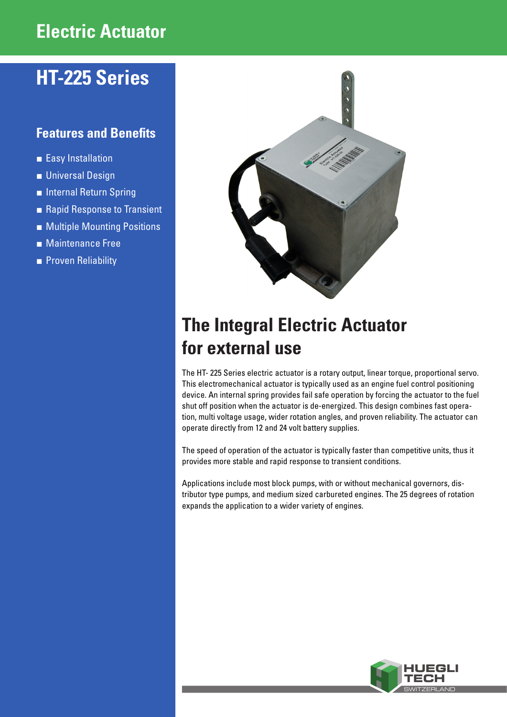## **Electric Actuator**

# **HT-225 Series**

## **Features and Benefits**

- **■** Easy Installation
- **■** Universal Design
- **■** Internal Return Spring
- Rapid Response to Transient
- Multiple Mounting Positions
- Maintenance Free
- Proven Reliability



# **The Integral Electric Actuator for external use**

The HT- 225 Series electric actuator is a rotary output, linear torque, proportional servo. This electromechanical actuator is typically used as an engine fuel control positioning device. An internal spring provides fail safe operation by forcing the actuator to the fuel shut off position when the actuator is de-energized. This design combines fast operation, multi voltage usage, wider rotation angles, and proven reliability. The actuator can operate directly from 12 and 24 volt battery supplies.

The speed of operation of the actuator is typically faster than competitive units, thus it provides more stable and rapid response to transient conditions.

Applications include most block pumps, with or without mechanical governors, distributor type pumps, and medium sized carbureted engines. The 25 degrees of rotation expands the application to a wider variety of engines.

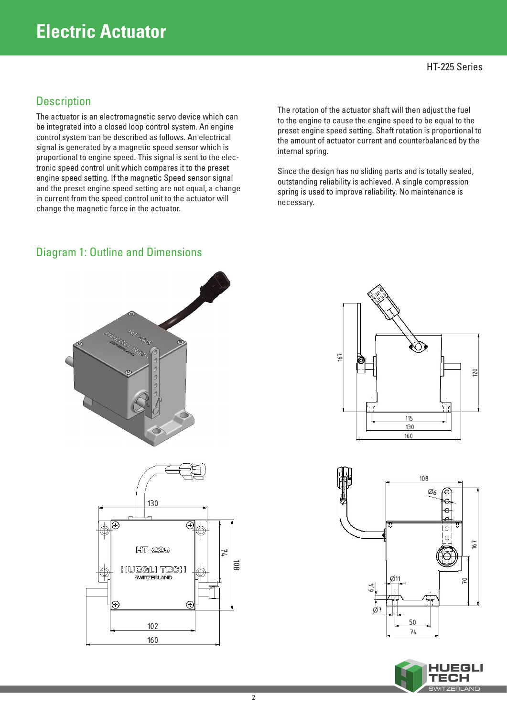## **Electric Actuator**

### HT-225 Series

### **Description**

The actuator is an electromagnetic servo device which can be integrated into a closed loop control system. An engine control system can be described as follows. An electrical signal is generated by a magnetic speed sensor which is proportional to engine speed. This signal is sent to the electronic speed control unit which compares it to the preset engine speed setting. If the magnetic Speed sensor signal and the preset engine speed setting are not equal, a change in current from the speed control unit to the actuator will change the magnetic force in the actuator.

The rotation of the actuator shaft will then adjust the fuel to the engine to cause the engine speed to be equal to the preset engine speed setting. Shaft rotation is proportional to the amount of actuator current and counterbalanced by the internal spring.

Since the design has no sliding parts and is totally sealed, outstanding reliability is achieved. A single compression spring is used to improve reliability. No maintenance is necessary.



# Diagram 1: Outline and Dimensions